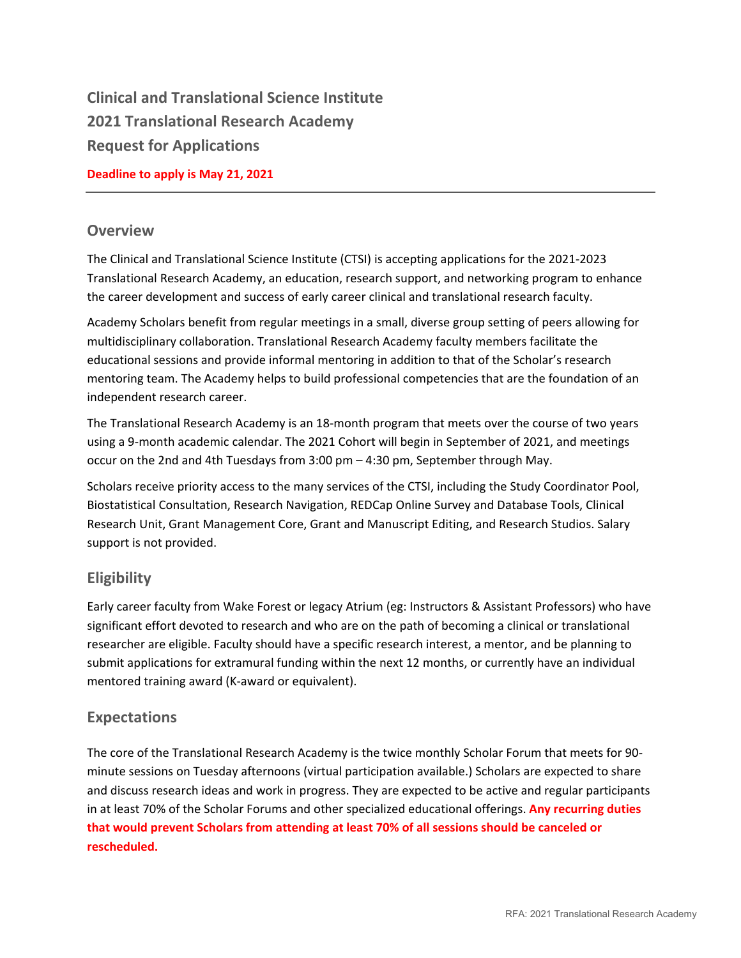**Clinical and Translational Science Institute 2021 Translational Research Academy Request for Applications** 

## **Deadline to apply is May 21, 2021**

## **Overview**

The Clinical and Translational Science Institute (CTSI) is accepting applications for the 2021-2023 Translational Research Academy, an education, research support, and networking program to enhance the career development and success of early career clinical and translational research faculty.

Academy Scholars benefit from regular meetings in a small, diverse group setting of peers allowing for multidisciplinary collaboration. Translational Research Academy faculty members facilitate the educational sessions and provide informal mentoring in addition to that of the Scholar's research mentoring team. The Academy helps to build professional competencies that are the foundation of an independent research career.

The Translational Research Academy is an 18-month program that meets over the course of two years using a 9-month academic calendar. The 2021 Cohort will begin in September of 2021, and meetings occur on the 2nd and 4th Tuesdays from 3:00 pm – 4:30 pm, September through May.

Scholars receive priority access to the many services of the CTSI, including the Study Coordinator Pool, Biostatistical Consultation, Research Navigation, REDCap Online Survey and Database Tools, Clinical Research Unit, Grant Management Core, Grant and Manuscript Editing, and Research Studios. Salary support is not provided.

# **Eligibility**

Early career faculty from Wake Forest or legacy Atrium (eg: Instructors & Assistant Professors) who have significant effort devoted to research and who are on the path of becoming a clinical or translational researcher are eligible. Faculty should have a specific research interest, a mentor, and be planning to submit applications for extramural funding within the next 12 months, or currently have an individual mentored training award (K-award or equivalent).

# **Expectations**

The core of the Translational Research Academy is the twice monthly Scholar Forum that meets for 90 minute sessions on Tuesday afternoons (virtual participation available.) Scholars are expected to share and discuss research ideas and work in progress. They are expected to be active and regular participants in at least 70% of the Scholar Forums and other specialized educational offerings. **Any recurring duties that would prevent Scholars from attending at least 70% of all sessions should be canceled or rescheduled.**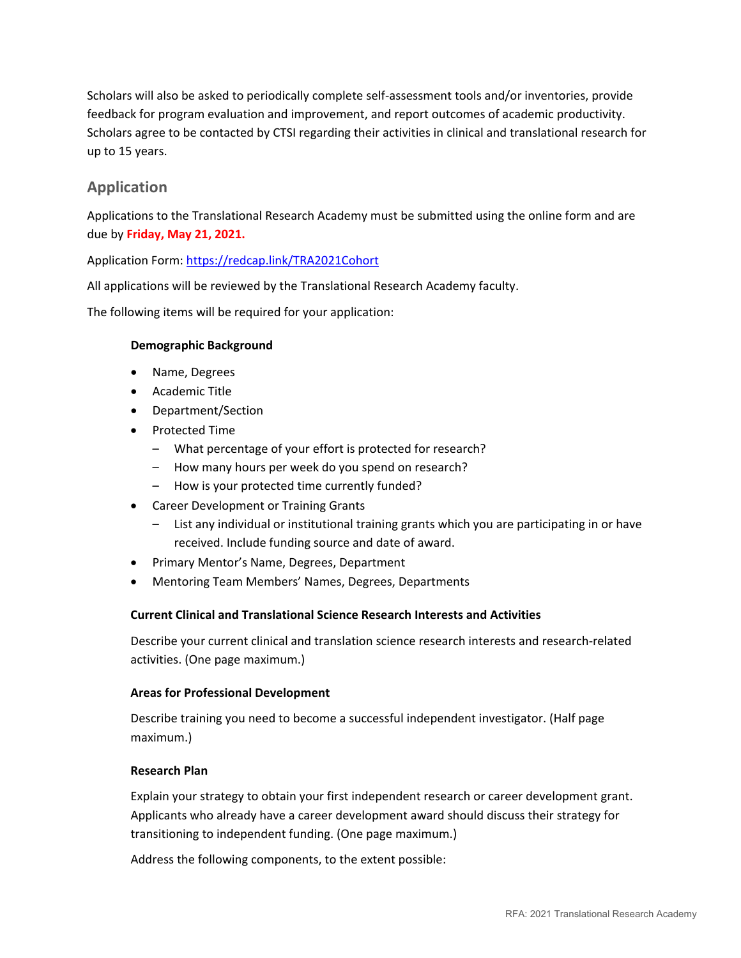Scholars will also be asked to periodically complete self-assessment tools and/or inventories, provide feedback for program evaluation and improvement, and report outcomes of academic productivity. Scholars agree to be contacted by CTSI regarding their activities in clinical and translational research for up to 15 years.

# **Application**

Applications to the Translational Research Academy must be submitted using the online form and are due by **Friday, May 21, 2021.**

Application Form:<https://redcap.link/TRA2021Cohort>

All applications will be reviewed by the Translational Research Academy faculty.

The following items will be required for your application:

## **Demographic Background**

- Name, Degrees
- Academic Title
- Department/Section
- Protected Time
	- What percentage of your effort is protected for research?
	- How many hours per week do you spend on research?
	- How is your protected time currently funded?
- Career Development or Training Grants
	- List any individual or institutional training grants which you are participating in or have received. Include funding source and date of award.
- Primary Mentor's Name, Degrees, Department
- Mentoring Team Members' Names, Degrees, Departments

## **Current Clinical and Translational Science Research Interests and Activities**

Describe your current clinical and translation science research interests and research-related activities. (One page maximum.)

## **Areas for Professional Development**

Describe training you need to become a successful independent investigator. (Half page maximum.)

#### **Research Plan**

Explain your strategy to obtain your first independent research or career development grant. Applicants who already have a career development award should discuss their strategy for transitioning to independent funding. (One page maximum.)

Address the following components, to the extent possible: